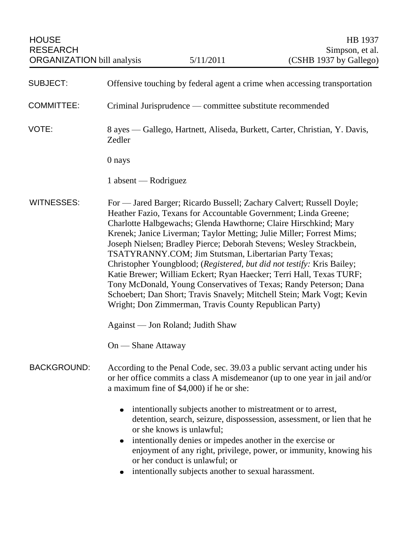| <b>HOUSE</b><br><b>RESEARCH</b><br><b>ORGANIZATION</b> bill analysis                                                                                                                                                                                                                                                                                                                                                                                                                                                                                                                                                                                                                                                                                                                                |                                                                                      | 5/11/2011                                                                                                                                                                                                                                         | HB 1937<br>Simpson, et al.<br>(CSHB 1937 by Gallego)                                                                                                    |
|-----------------------------------------------------------------------------------------------------------------------------------------------------------------------------------------------------------------------------------------------------------------------------------------------------------------------------------------------------------------------------------------------------------------------------------------------------------------------------------------------------------------------------------------------------------------------------------------------------------------------------------------------------------------------------------------------------------------------------------------------------------------------------------------------------|--------------------------------------------------------------------------------------|---------------------------------------------------------------------------------------------------------------------------------------------------------------------------------------------------------------------------------------------------|---------------------------------------------------------------------------------------------------------------------------------------------------------|
|                                                                                                                                                                                                                                                                                                                                                                                                                                                                                                                                                                                                                                                                                                                                                                                                     |                                                                                      |                                                                                                                                                                                                                                                   |                                                                                                                                                         |
| <b>SUBJECT:</b>                                                                                                                                                                                                                                                                                                                                                                                                                                                                                                                                                                                                                                                                                                                                                                                     | Offensive touching by federal agent a crime when accessing transportation            |                                                                                                                                                                                                                                                   |                                                                                                                                                         |
| <b>COMMITTEE:</b>                                                                                                                                                                                                                                                                                                                                                                                                                                                                                                                                                                                                                                                                                                                                                                                   | Criminal Jurisprudence — committee substitute recommended                            |                                                                                                                                                                                                                                                   |                                                                                                                                                         |
| VOTE:                                                                                                                                                                                                                                                                                                                                                                                                                                                                                                                                                                                                                                                                                                                                                                                               | 8 ayes — Gallego, Hartnett, Aliseda, Burkett, Carter, Christian, Y. Davis,<br>Zedler |                                                                                                                                                                                                                                                   |                                                                                                                                                         |
|                                                                                                                                                                                                                                                                                                                                                                                                                                                                                                                                                                                                                                                                                                                                                                                                     | 0 nays                                                                               |                                                                                                                                                                                                                                                   |                                                                                                                                                         |
|                                                                                                                                                                                                                                                                                                                                                                                                                                                                                                                                                                                                                                                                                                                                                                                                     | 1 absent — Rodriguez                                                                 |                                                                                                                                                                                                                                                   |                                                                                                                                                         |
| <b>WITNESSES:</b><br>For — Jared Barger; Ricardo Bussell; Zachary Calvert; Russell Doyle;<br>Heather Fazio, Texans for Accountable Government; Linda Greene;<br>Charlotte Halbgewachs; Glenda Hawthorne; Claire Hirschkind; Mary<br>Krenek; Janice Liverman; Taylor Metting; Julie Miller; Forrest Mims;<br>Joseph Nielsen; Bradley Pierce; Deborah Stevens; Wesley Strackbein,<br>TSATYRANNY.COM; Jim Stutsman, Libertarian Party Texas;<br>Christopher Youngblood; (Registered, but did not testify: Kris Bailey;<br>Katie Brewer; William Eckert; Ryan Haecker; Terri Hall, Texas TURF;<br>Tony McDonald, Young Conservatives of Texas; Randy Peterson; Dana<br>Schoebert; Dan Short; Travis Snavely; Mitchell Stein; Mark Vogt; Kevin<br>Wright; Don Zimmerman, Travis County Republican Party) |                                                                                      |                                                                                                                                                                                                                                                   |                                                                                                                                                         |
|                                                                                                                                                                                                                                                                                                                                                                                                                                                                                                                                                                                                                                                                                                                                                                                                     | Against — Jon Roland; Judith Shaw                                                    |                                                                                                                                                                                                                                                   |                                                                                                                                                         |
|                                                                                                                                                                                                                                                                                                                                                                                                                                                                                                                                                                                                                                                                                                                                                                                                     | On — Shane Attaway                                                                   |                                                                                                                                                                                                                                                   |                                                                                                                                                         |
| <b>BACKGROUND:</b>                                                                                                                                                                                                                                                                                                                                                                                                                                                                                                                                                                                                                                                                                                                                                                                  |                                                                                      | a maximum fine of \$4,000) if he or she:                                                                                                                                                                                                          | According to the Penal Code, sec. 39.03 a public servant acting under his<br>or her office commits a class A misdemeanor (up to one year in jail and/or |
|                                                                                                                                                                                                                                                                                                                                                                                                                                                                                                                                                                                                                                                                                                                                                                                                     | $\bullet$                                                                            | intentionally subjects another to mistreatment or to arrest,<br>or she knows is unlawful;<br>intentionally denies or impedes another in the exercise or<br>or her conduct is unlawful; or<br>intentionally subjects another to sexual harassment. | detention, search, seizure, dispossession, assessment, or lien that he<br>enjoyment of any right, privilege, power, or immunity, knowing his            |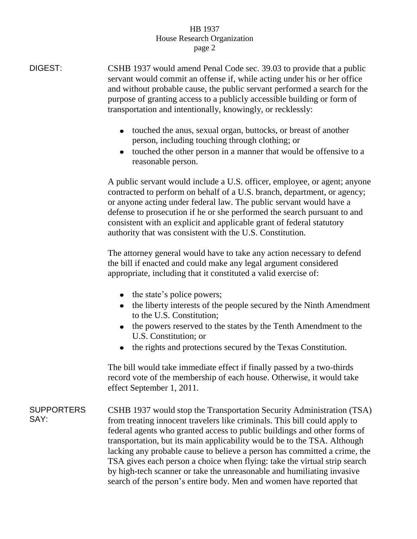## HB 1937 House Research Organization page 2

DIGEST: CSHB 1937 would amend Penal Code sec. 39.03 to provide that a public servant would commit an offense if, while acting under his or her office and without probable cause, the public servant performed a search for the purpose of granting access to a publicly accessible building or form of transportation and intentionally, knowingly, or recklessly:

- touched the anus, sexual organ, buttocks, or breast of another person, including touching through clothing; or
- touched the other person in a manner that would be offensive to a reasonable person.

A public servant would include a U.S. officer, employee, or agent; anyone contracted to perform on behalf of a U.S. branch, department, or agency; or anyone acting under federal law. The public servant would have a defense to prosecution if he or she performed the search pursuant to and consistent with an explicit and applicable grant of federal statutory authority that was consistent with the U.S. Constitution.

The attorney general would have to take any action necessary to defend the bill if enacted and could make any legal argument considered appropriate, including that it constituted a valid exercise of:

- the state's police powers;
- the liberty interests of the people secured by the Ninth Amendment to the U.S. Constitution;
- the powers reserved to the states by the Tenth Amendment to the U.S. Constitution; or
- the rights and protections secured by the Texas Constitution.  $\bullet$

The bill would take immediate effect if finally passed by a two-thirds record vote of the membership of each house. Otherwise, it would take effect September 1, 2011.

**SUPPORTERS** SAY: CSHB 1937 would stop the Transportation Security Administration (TSA) from treating innocent travelers like criminals. This bill could apply to federal agents who granted access to public buildings and other forms of transportation, but its main applicability would be to the TSA. Although lacking any probable cause to believe a person has committed a crime, the TSA gives each person a choice when flying: take the virtual strip search by high-tech scanner or take the unreasonable and humiliating invasive search of the person's entire body. Men and women have reported that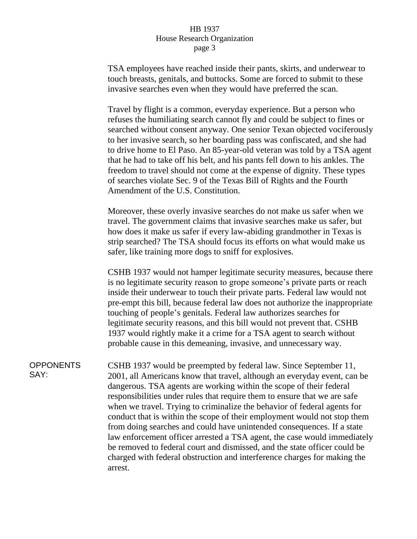## HB 1937 House Research Organization page 3

TSA employees have reached inside their pants, skirts, and underwear to touch breasts, genitals, and buttocks. Some are forced to submit to these invasive searches even when they would have preferred the scan.

Travel by flight is a common, everyday experience. But a person who refuses the humiliating search cannot fly and could be subject to fines or searched without consent anyway. One senior Texan objected vociferously to her invasive search, so her boarding pass was confiscated, and she had to drive home to El Paso. An 85-year-old veteran was told by a TSA agent that he had to take off his belt, and his pants fell down to his ankles. The freedom to travel should not come at the expense of dignity. These types of searches violate Sec. 9 of the Texas Bill of Rights and the Fourth Amendment of the U.S. Constitution.

Moreover, these overly invasive searches do not make us safer when we travel. The government claims that invasive searches make us safer, but how does it make us safer if every law-abiding grandmother in Texas is strip searched? The TSA should focus its efforts on what would make us safer, like training more dogs to sniff for explosives.

CSHB 1937 would not hamper legitimate security measures, because there is no legitimate security reason to grope someone's private parts or reach inside their underwear to touch their private parts. Federal law would not pre-empt this bill, because federal law does not authorize the inappropriate touching of people's genitals. Federal law authorizes searches for legitimate security reasons, and this bill would not prevent that. CSHB 1937 would rightly make it a crime for a TSA agent to search without probable cause in this demeaning, invasive, and unnecessary way.

OPPONENTS SAY: CSHB 1937 would be preempted by federal law. Since September 11, 2001, all Americans know that travel, although an everyday event, can be dangerous. TSA agents are working within the scope of their federal responsibilities under rules that require them to ensure that we are safe when we travel. Trying to criminalize the behavior of federal agents for conduct that is within the scope of their employment would not stop them from doing searches and could have unintended consequences. If a state law enforcement officer arrested a TSA agent, the case would immediately be removed to federal court and dismissed, and the state officer could be charged with federal obstruction and interference charges for making the arrest.